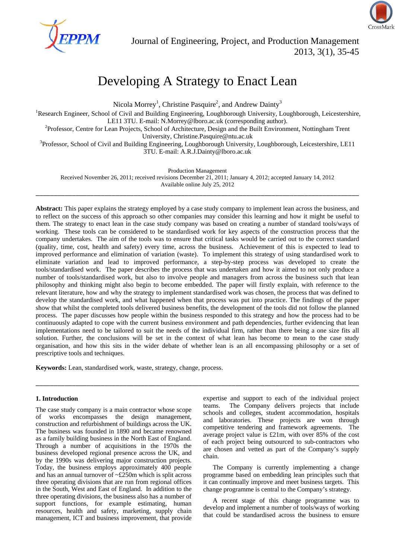

# Developing A Strategy to Enact Lean

Nicola Morrey<sup>1</sup>, Christine Pasquire<sup>2</sup>, and Andrew Dainty<sup>3</sup>

<sup>1</sup>Research Engineer, School of Civil and Building Engineering, Loughborough University, Loughborough, Leicestershire, LE11 3TU. E-mail: N.Morrey@lboro.ac.uk (corresponding author).<br><sup>2</sup>Professor, Centre for Lean Projects, School of Architecture, Design and the Built Environment, Nottingham Trent

University, Christine.Pasquire@ntu.ac.uk<br><sup>3</sup>Professor, School of Civil and Building Engineering, Loughborough University, Loughborough, Leicestershire, LE11

3TU. E-mail: A.R.J.Dainty@lboro.ac.uk

Production Management

Received November 26, 2011; received revisions December 21, 2011; January 4, 2012; accepted January 14, 2012 Available online July 25, 2012 \_\_\_\_\_\_\_\_\_\_\_\_\_\_\_\_\_\_\_\_\_\_\_\_\_\_\_\_\_\_\_\_\_\_\_\_\_\_\_\_\_\_\_\_\_\_\_\_\_\_\_\_\_\_\_\_\_\_\_\_\_\_\_\_\_\_\_\_\_\_\_\_\_\_\_\_\_\_\_\_\_\_\_\_\_\_\_\_\_

**Abstract:** This paper explains the strategy employed by a case study company to implement lean across the business, and to reflect on the success of this approach so other companies may consider this learning and how it might be useful to them. The strategy to enact lean in the case study company was based on creating a number of standard tools/ways of working. These tools can be considered to be standardised work for key aspects of the construction process that the company undertakes. The aim of the tools was to ensure that critical tasks would be carried out to the correct standard (quality, time, cost, health and safety) every time, across the business. Achievement of this is expected to lead to improved performance and elimination of variation (waste). To implement this strategy of using standardised work to eliminate variation and lead to improved performance, a step-by-step process was developed to create the tools/standardised work. The paper describes the process that was undertaken and how it aimed to not only produce a number of tools/standardised work, but also to involve people and managers from across the business such that lean philosophy and thinking might also begin to become embedded. The paper will firstly explain, with reference to the relevant literature, how and why the strategy to implement standardised work was chosen, the process that was defined to develop the standardised work, and what happened when that process was put into practice. The findings of the paper show that whilst the completed tools delivered business benefits, the development of the tools did not follow the planned process. The paper discusses how people within the business responded to this strategy and how the process had to be continuously adapted to cope with the current business environment and path dependencies, further evidencing that lean implementations need to be tailored to suit the needs of the individual firm, rather than there being a one size fits all solution. Further, the conclusions will be set in the context of what lean has become to mean to the case study organisation, and how this sits in the wider debate of whether lean is an all encompassing philosophy or a set of prescriptive tools and techniques.

\_\_\_\_\_\_\_\_\_\_\_\_\_\_\_\_\_\_\_\_\_\_\_\_\_\_\_\_\_\_\_\_\_\_\_\_\_\_\_\_\_\_\_\_\_\_\_\_\_\_\_\_\_\_\_\_\_\_\_\_\_\_\_\_\_\_\_\_\_\_\_\_\_\_\_\_\_\_\_\_\_\_\_\_\_\_\_\_\_

**Keywords:** Lean, standardised work, waste, strategy, change, process.

# **1. Introduction**

The case study company is a main contractor whose scope of works encompasses the design management, construction and refurbishment of buildings across the UK. The business was founded in 1890 and became renowned as a family building business in the North East of England. Through a number of acquisitions in the 1970s the business developed regional presence across the UK, and by the 1990s was delivering major construction projects. Today, the business employs approximately 400 people and has an annual turnover of  $\sim$ £250m which is split across three operating divisions that are run from regional offices in the South, West and East of England. In addition to the three operating divisions, the business also has a number of support functions, for example estimating, human resources, health and safety, marketing, supply chain management, ICT and business improvement, that provide expertise and support to each of the individual project teams. The Company delivers projects that include schools and colleges, student accommodation, hospitals and laboratories. These projects are won through competitive tendering and framework agreements. The average project value is £21m, with over 85% of the cost of each project being outsourced to sub-contractors who are chosen and vetted as part of the Company's supply chain.

The Company is currently implementing a change programme based on embedding lean principles such that it can continually improve and meet business targets. This change programme is central to the Company's strategy.

A recent stage of this change programme was to develop and implement a number of tools/ways of working that could be standardised across the business to ensure

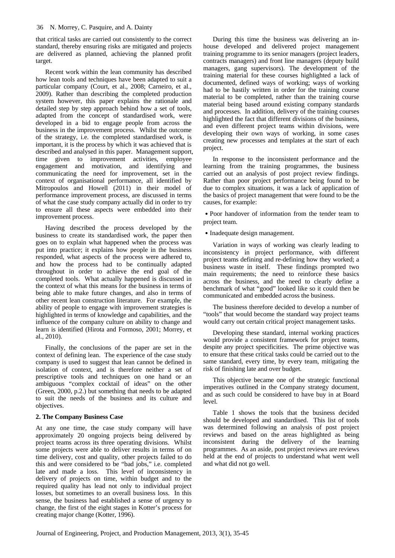that critical tasks are carried out consistently to the correct standard, thereby ensuring risks are mitigated and projects are delivered as planned, achieving the planned profit target.

Recent work within the lean community has described how lean tools and techniques have been adapted to suit a particular company (Court, et al., 2008; Carneiro, et al., 2009). Rather than describing the completed production system however, this paper explains the rationale and detailed step by step approach behind how a set of tools, adapted from the concept of standardised work, were developed in a bid to engage people from across the business in the improvement process. Whilst the outcome of the strategy, i.e. the completed standardised work, is important, it is the process by which it was achieved that is described and analysed in this paper. Management support, time given to improvement activities, employee engagement and motivation, and identifying and communicating the need for improvement, set in the context of organisational performance, all identified by Mitropoulos and Howell (2011) in their model of performance improvement process, are discussed in terms of what the case study company actually did in order to try to ensure all these aspects were embedded into their improvement process.

Having described the process developed by the business to create its standardised work, the paper then goes on to explain what happened when the process was put into practice; it explains how people in the business responded, what aspects of the process were adhered to, and how the process had to be continually adapted throughout in order to achieve the end goal of the completed tools. What actually happened is discussed in the context of what this means for the business in terms of being able to make future changes, and also in terms of other recent lean construction literature. For example, the ability of people to engage with improvement strategies is highlighted in terms of knowledge and capabilities, and the influence of the company culture on ability to change and learn is identified (Hirota and Formoso, 2001; Morrey, et al., 2010).

Finally, the conclusions of the paper are set in the context of defining lean. The experience of the case study company is used to suggest that lean cannot be defined in isolation of context, and is therefore neither a set of prescriptive tools and techniques on one hand or an ambiguous "complex cocktail of ideas" on the other (Green, 2000, p.2.) but something that needs to be adapted to suit the needs of the business and its culture and objectives.

## **2. The Company Business Case**

At any one time, the case study company will have approximately 20 ongoing projects being delivered by project teams across its three operating divisions. Whilst some projects were able to deliver results in terms of on time delivery, cost and quality, other projects failed to do this and were considered to be "bad jobs," i.e. completed late and made a loss. This level of inconsistency in delivery of projects on time, within budget and to the required quality has lead not only to individual project losses, but sometimes to an overall business loss. In this sense, the business had established a sense of urgency to change, the first of the eight stages in Kotter's process for creating major change (Kotter, 1996).

During this time the business was delivering an inhouse developed and delivered project management training programme to its senior managers (project leaders, contracts managers) and front line managers (deputy build managers, gang supervisors). The development of the training material for these courses highlighted a lack of documented, defined ways of working; ways of working had to be hastily written in order for the training course material to be completed, rather than the training course material being based around existing company standards and processes. In addition, delivery of the training courses highlighted the fact that different divisions of the business, and even different project teams within divisions, were developing their own ways of working, in some cases creating new processes and templates at the start of each project.

In response to the inconsistent performance and the learning from the training programmes, the business carried out an analysis of post project review findings. Rather than poor project performance being found to be due to complex situations, it was a lack of application of the basics of project management that were found to be the causes, for example:

˙Poor handover of information from the tender team to project team.

• Inadequate design management.

Variation in ways of working was clearly leading to inconsistency in project performance, with different project teams defining and re-defining how they worked; a business waste in itself. These findings prompted two main requirements; the need to reinforce these basics across the business, and the need to clearly define a benchmark of what "good" looked like so it could then be communicated and embedded across the business.

The business therefore decided to develop a number of "tools" that would become the standard way project teams would carry out certain critical project management tasks.

Developing these standard, internal working practices would provide a consistent framework for project teams, despite any project specificities. The prime objective was to ensure that these critical tasks could be carried out to the same standard, every time, by every team, mitigating the risk of finishing late and over budget.

This objective became one of the strategic functional imperatives outlined in the Company strategy document, and as such could be considered to have buy in at Board level.

Table 1 shows the tools that the business decided should be developed and standardised. This list of tools was determined following an analysis of post project reviews and based on the areas highlighted as being inconsistent during the delivery of the learning programmes. As an aside, post project reviews are reviews held at the end of projects to understand what went well and what did not go well.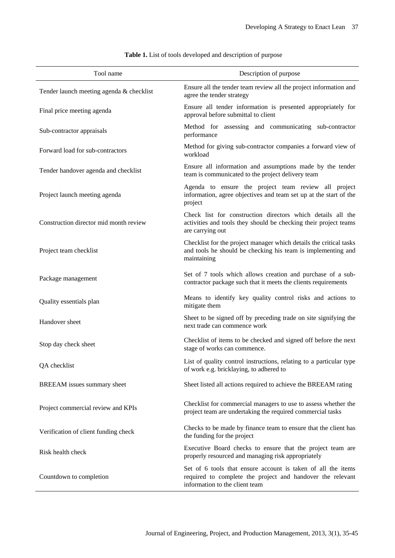| Tool name                                | Description of purpose                                                                                                                                       |  |  |  |  |
|------------------------------------------|--------------------------------------------------------------------------------------------------------------------------------------------------------------|--|--|--|--|
| Tender launch meeting agenda & checklist | Ensure all the tender team review all the project information and<br>agree the tender strategy                                                               |  |  |  |  |
| Final price meeting agenda               | Ensure all tender information is presented appropriately for<br>approval before submittal to client                                                          |  |  |  |  |
| Sub-contractor appraisals                | Method for assessing and communicating sub-contractor<br>performance                                                                                         |  |  |  |  |
| Forward load for sub-contractors         | Method for giving sub-contractor companies a forward view of<br>workload                                                                                     |  |  |  |  |
| Tender handover agenda and checklist     | Ensure all information and assumptions made by the tender<br>team is communicated to the project delivery team                                               |  |  |  |  |
| Project launch meeting agenda            | Agenda to ensure the project team review all project<br>information, agree objectives and team set up at the start of the<br>project                         |  |  |  |  |
| Construction director mid month review   | Check list for construction directors which details all the<br>activities and tools they should be checking their project teams<br>are carrying out          |  |  |  |  |
| Project team checklist                   | Checklist for the project manager which details the critical tasks<br>and tools he should be checking his team is implementing and<br>maintaining            |  |  |  |  |
| Package management                       | Set of 7 tools which allows creation and purchase of a sub-<br>contractor package such that it meets the clients requirements                                |  |  |  |  |
| Quality essentials plan                  | Means to identify key quality control risks and actions to<br>mitigate them                                                                                  |  |  |  |  |
| Handover sheet                           | Sheet to be signed off by preceding trade on site signifying the<br>next trade can commence work                                                             |  |  |  |  |
| Stop day check sheet                     | Checklist of items to be checked and signed off before the next<br>stage of works can commence.                                                              |  |  |  |  |
| QA checklist                             | List of quality control instructions, relating to a particular type<br>of work e.g. bricklaying, to adhered to                                               |  |  |  |  |
| BREEAM issues summary sheet              | Sheet listed all actions required to achieve the BREEAM rating                                                                                               |  |  |  |  |
| Project commercial review and KPIs       | Checklist for commercial managers to use to assess whether the<br>project team are undertaking the required commercial tasks                                 |  |  |  |  |
| Verification of client funding check     | Checks to be made by finance team to ensure that the client has<br>the funding for the project                                                               |  |  |  |  |
| Risk health check                        | Executive Board checks to ensure that the project team are<br>properly resourced and managing risk appropriately                                             |  |  |  |  |
| Countdown to completion                  | Set of 6 tools that ensure account is taken of all the items<br>required to complete the project and handover the relevant<br>information to the client team |  |  |  |  |

**Table 1.** List of tools developed and description of purpose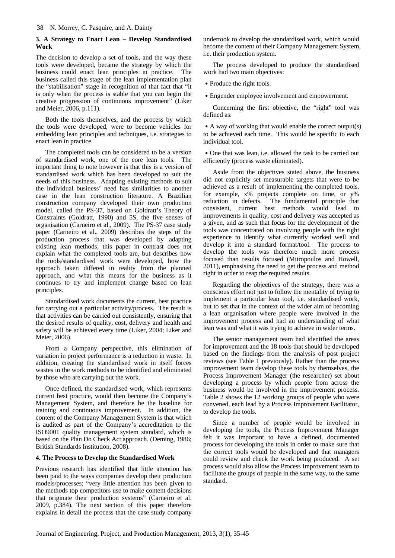# **3. A Strategy to Enact Lean – Develop Standardised Work**

The decision to develop a set of tools, and the way these tools were developed, became the strategy by which the business could enact lean principles in practice. The business called this stage of the lean implementation plan the "stabilisation" stage in recognition of that fact that "it is only when the process is stable that you can begin the creative progression of continuous improvement" (Liker and Meier, 2006, p.111).

Both the tools themselves, and the process by which the tools were developed, were to become vehicles for embedding lean principles and techniques, i.e. strategies to enact lean in practice.

The completed tools can be considered to be a version of standardised work, one of the core lean tools. The important thing to note however is that this is a version of standardised work which has been developed to suit the needs of this business. Adapting existing methods to suit the individual business' need has similarities to another case in the lean construction literature. A Brazilian construction company developed their own production model, called the PS-37, based on Goldratt's Theory of Constraints (Goldratt, 1990) and 5S, the five senses of organisation (Carneiro et al., 2009). The PS-37 case study paper (Carneiro et al., 2009) describes the steps of the production process that was developed by adapting existing lean methods; this paper in contrast does not explain what the completed tools are, but describes how the tools/standardised work were developed, how the approach taken differed in reality from the planned approach, and what this means for the business as it continues to try and implement change based on lean principles.

Standardised work documents the current, best practice for carrying out a particular activity/process. The result is that activities can be carried out consistently, ensuring that the desired results of quality, cost, delivery and health and safety will be achieved every time (Liker, 2004; Liker and Meier, 2006).

From a Company perspective, this elimination of variation in project performance is a reduction in waste. In addition, creating the standardised work in itself forces wastes in the work methods to be identified and eliminated by those who are carrying out the work.

Once defined, the standardised work, which represents current best practice, would then become the Company's Management System, and therefore be the baseline for training and continuous improvement. In addition, the content of the Company Management System is that which is audited as part of the Company's accreditation to the ISO9001 quality management system standard, which is based on the Plan Do Check Act approach. (Deming, 1986; British Standards Institution, 2008).

# **4. The Process to Develop the Standardised Work**

Previous research has identified that little attention has been paid to the ways companies develop their production models/processes; "very little attention has been given to the methods top competitors use to make content decisions that originate their production systems" (Carneiro et al. 2009, p.384). The next section of this paper therefore explains in detail the process that the case study company undertook to develop the standardised work, which would become the content of their Company Management System, i.e. their production system.

The process developed to produce the standardised work had two main objectives:

- Produce the right tools.
- ˙Engender employee involvement and empowerment.

Concerning the first objective, the "right" tool was defined as:

˙A way of working that would enable the correct output(s) to be achieved each time. This would be specific to each individual tool.

˙One that was lean, i.e. allowed the task to be carried out efficiently (process waste eliminated).

Aside from the objectives stated above, the business did not explicitly set measurable targets that were to be achieved as a result of implementing the completed tools, for example, x% projects complete on time, or y% reduction in defects. The fundamental principle that consistent, current best methods would lead to improvements in quality, cost and delivery was accepted as a given, and as such that focus for the development of the tools was concentrated on involving people with the right experience to identify what currently worked well and develop it into a standard format/tool. The process to develop the tools was therefore much more process focused than results focused (Mitropoulos and Howell, 2011), emphasising the need to get the process and method right in order to reap the required results.

Regarding the objectives of the strategy, there was a conscious effort not just to follow the mentality of trying to implement a particular lean tool, i.e. standardised work, but to set that in the context of the wider aim of becoming a lean organisation where people were involved in the improvement process and had an understanding of what lean was and what it was trying to achieve in wider terms.

The senior management team had identified the areas for improvement and the 18 tools that should be developed based on the findings from the analysis of post project reviews (see Table 1 previously). Rather than the process improvement team develop these tools by themselves, the Process Improvement Manager (the researcher) set about developing a process by which people from across the business would be involved in the improvement process. Table 2 shows the 12 working groups of people who were convened, each lead by a Process Improvement Facilitator, to develop the tools.

Since a number of people would be involved in developing the tools, the Process Improvement Manager felt it was important to have a defined, documented process for developing the tools in order to make sure that the correct tools would be developed and that managers could review and check the work being produced. A set process would also allow the Process Improvement team to facilitate the groups of people in the same way, to the same standard.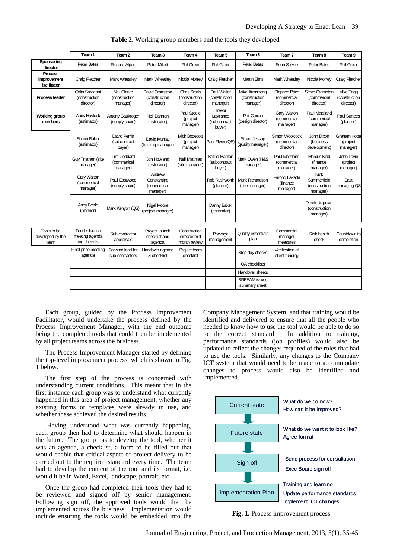|                                              | Team 1                                                  | Team 2                                        | Team 3                                           | Team 4                                       | Team 5                                       | Team 6                                             | Team <sub>7</sub>                                | Team 8                                                  | Team 9                                          |
|----------------------------------------------|---------------------------------------------------------|-----------------------------------------------|--------------------------------------------------|----------------------------------------------|----------------------------------------------|----------------------------------------------------|--------------------------------------------------|---------------------------------------------------------|-------------------------------------------------|
| Sponsoring<br>director                       | <b>Peter Bates</b>                                      | <b>Richard Alport</b>                         | <b>Peter Millett</b>                             | <b>Phil Green</b>                            | <b>Phil Green</b>                            | <b>Peter Bates</b>                                 | Sean Smylie                                      | <b>Peter Bates</b>                                      | <b>Phil Green</b>                               |
| <b>Process</b><br>improvement<br>facilitator | <b>Craig Fletcher</b>                                   | <b>Mark Wheatley</b>                          | <b>Mark Wheatley</b>                             | Nicola Morrey                                | Craig Fletcher                               | <b>Martin Elms</b>                                 | <b>Mark Wheatley</b>                             | Nicola Morrey                                           | Craig Fletcher                                  |
| <b>Process leader</b>                        | Colin Sargeant<br>(construction<br>director)            | Neil Clarke<br>(construction<br>manager)      | David Crampton<br>(construction<br>director)     | Chris Smith<br>(construction<br>director)    | Paul Waller<br>(construction<br>manager)     | <b>Mike Armstrong</b><br>(construction<br>manager) | <b>Stephen Price</b><br>(commercial<br>director) | Steve Crampton<br>(commercial<br>director)              | <b>Mike Trigg</b><br>(construction<br>director) |
| <b>Working group</b><br>members              | <b>Andy Haylock</b><br>(estimator)                      | <b>Antony Gaukroger</b><br>(supply chain)     | Neil Damton<br>(estimator)                       | Paul Steele<br>(project<br>manager)          | Trevor<br>Lawrance<br>(subcontract<br>buyer) | Phil Curran<br>(design director)                   | Gary Walton<br>(commercial<br>manager)           | <b>Paul Marsland</b><br>(commercial<br>manager)         | <b>Paul Surtees</b><br>(planner)                |
|                                              | Shaun Baker<br>(estimator)                              | David Perrin<br>(subcontract<br>buyer)        | David Murray<br>(training manager)               | Mick Bodecott<br>(project<br>manager)        | Paul Flynn (QS)                              | <b>Stuart Jessop</b><br>(quality manager)          | Simon Woolcock<br>(commercial<br>director)       | John Dixon<br>(business<br>development)                 | Graham Hope<br>(project<br>manager)             |
|                                              | Guy Tristram (site<br>manager)                          | <b>Tim Goddard</b><br>(commerical<br>manager) | Jon Howland<br>(estimator)                       | <b>Neil Matthias</b><br>(site manager)       | Selina Manton<br>(subcontract<br>buyer)      | Mark Owen (H&S<br>manager)                         | Paul Marsland<br>(commercial<br>manager)         | Marcus Kidd<br>(finance<br>manager)                     | John Lavin<br>(project<br>manager)              |
|                                              | Gary Walton<br>(commerical<br>manager)                  | Paul Eastwood<br>(supply chain)               | Andrew<br>Constantine<br>(commerical<br>manager) |                                              | Rob Rushworth<br>(planner)                   | Mark Richardson<br>(site manager)                  | Farooq Lakada<br>(finance<br>manager)            | <b>Nick</b><br>Summerfield<br>(construction<br>manager) | East<br>managing QS                             |
|                                              | Andy Beale<br>(planner)                                 | Mark Kenyon (QS)                              | Nigel Moore<br>(project manager)                 |                                              | Danny Baker<br>(estimator)                   |                                                    |                                                  | Derek Urguhart<br>(construction<br>manager)             |                                                 |
|                                              |                                                         |                                               |                                                  |                                              |                                              |                                                    |                                                  |                                                         |                                                 |
| Tools to be<br>developed by the<br>team      | <b>Tender launch</b><br>meeting agenda<br>and checklist | Sub-contractor<br>appraisals                  | Project launch<br>checklist and<br>agenda        | Construction<br>director mid<br>month review | Package<br>management                        | Quality essentials<br>plan                         | Commercial<br>manager<br>measures                | <b>Risk health</b><br>check                             | Countdown to<br>completion                      |
|                                              | Final price meeting<br>agenda                           | Forward load for<br>sub-contractors           | Handover agenda<br>& checklist                   | Project team<br>checklist                    |                                              | Stop day checks                                    | Verification of<br>client funding                |                                                         |                                                 |
|                                              |                                                         |                                               |                                                  |                                              |                                              | QA checklists                                      |                                                  |                                                         |                                                 |
|                                              |                                                         |                                               |                                                  |                                              |                                              | Handover sheets                                    |                                                  |                                                         |                                                 |
|                                              |                                                         |                                               |                                                  |                                              |                                              | <b>BREEAM</b> issues<br>summary sheet              |                                                  |                                                         |                                                 |

**Table 2.** Working group members and the tools they developed

Each group, guided by the Process Improvement Facilitator, would undertake the process defined by the Process Improvement Manager, with the end outcome being the completed tools that could then be implemented by all project teams across the business.

The Process Improvement Manager started by defining the top-level improvement process, which is shown in Fig. 1 below.

The first step of the process is concerned with understanding current conditions. This meant that in the first instance each group was to understand what currently happened in this area of project management, whether any existing forms or templates were already in use, and whether these achieved the desired results.

 Having understood what was currently happening, each group then had to determine what should happen in the future. The group has to develop the tool, whether it was an agenda, a checklist, a form to be filled out that would enable that critical aspect of project delivery to be carried out to the required standard every time. The team had to develop the content of the tool and its format, i.e. would it be in Word, Excel, landscape, portrait, etc.

Once the group had completed their tools they had to be reviewed and signed off by senior management. Following sign off, the approved tools would then be implemented across the business. Implementation would include ensuring the tools would be embedded into the

Company Management System, and that training would be identified and delivered to ensure that all the people who needed to know how to use the tool would be able to do so to the correct standard. In addition to training, performance standards (job profiles) would also be updated to reflect the changes required of the roles that had to use the tools. Similarly, any changes to the Company ICT system that would need to be made to accommodate changes to process would also be identified and implemented.



**Fig. 1.** Process improvement process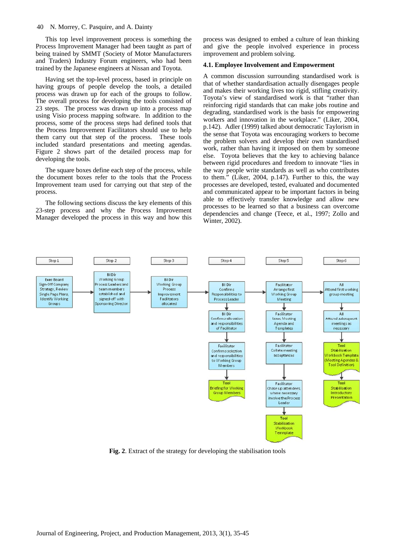#### 40 N. Morrey, C. Pasquire, and A. Dainty

This top level improvement process is something the Process Improvement Manager had been taught as part of being trained by SMMT (Society of Motor Manufacturers and Traders) Industry Forum engineers, who had been trained by the Japanese engineers at Nissan and Toyota.

Having set the top-level process, based in principle on having groups of people develop the tools, a detailed process was drawn up for each of the groups to follow. The overall process for developing the tools consisted of 23 steps. The process was drawn up into a process map using Visio process mapping software. In addition to the process, some of the process steps had defined tools that the Process Improvement Facilitators should use to help them carry out that step of the process. These tools included standard presentations and meeting agendas. Figure 2 shows part of the detailed process map for developing the tools.

The square boxes define each step of the process, while the document boxes refer to the tools that the Process Improvement team used for carrying out that step of the process.

The following sections discuss the key elements of this 23-step process and why the Process Improvement Manager developed the process in this way and how this process was designed to embed a culture of lean thinking and give the people involved experience in process improvement and problem solving.

## **4.1. Employee Involvement and Empowerment**

A common discussion surrounding standardised work is that of whether standardisation actually disengages people and makes their working lives too rigid, stifling creativity. Toyota's view of standardised work is that "rather than reinforcing rigid standards that can make jobs routine and degrading, standardised work is the basis for empowering workers and innovation in the workplace." (Liker, 2004, p.142). Adler (1999) talked about democratic Taylorism in the sense that Toyota was encouraging workers to become the problem solvers and develop their own standardised work, rather than having it imposed on them by someone else. Toyota believes that the key to achieving balance between rigid procedures and freedom to innovate "lies in the way people write standards as well as who contributes to them." (Liker, 2004, p.147). Further to this, the way processes are developed, tested, evaluated and documented and communicated appear to be important factors in being able to effectively transfer knowledge and allow new processes to be learned so that a business can overcome dependencies and change (Teece, et al., 1997; Zollo and Winter, 2002).



**Fig. 2**. Extract of the strategy for developing the stabilisation tools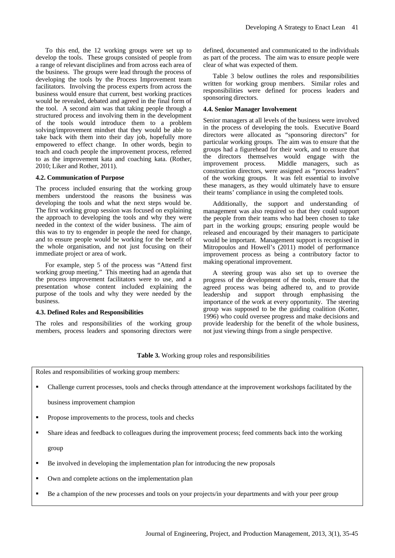To this end, the 12 working groups were set up to develop the tools. These groups consisted of people from a range of relevant disciplines and from across each area of the business. The groups were lead through the process of developing the tools by the Process Improvement team facilitators. Involving the process experts from across the business would ensure that current, best working practices would be revealed, debated and agreed in the final form of the tool. A second aim was that taking people through a structured process and involving them in the development of the tools would introduce them to a problem solving/improvement mindset that they would be able to take back with them into their day job, hopefully more empowered to effect change. In other words, begin to teach and coach people the improvement process, referred to as the improvement kata and coaching kata. (Rother, 2010; Liker and Rother, 2011).

## **4.2. Communication of Purpose**

The process included ensuring that the working group members understood the reasons the business was developing the tools and what the next steps would be. The first working group session was focused on explaining the approach to developing the tools and why they were needed in the context of the wider business. The aim of this was to try to engender in people the need for change, and to ensure people would be working for the benefit of the whole organisation, and not just focusing on their immediate project or area of work.

For example, step 5 of the process was "Attend first working group meeting." This meeting had an agenda that the process improvement facilitators were to use, and a presentation whose content included explaining the purpose of the tools and why they were needed by the business.

### **4.3. Defined Roles and Responsibilities**

The roles and responsibilities of the working group members, process leaders and sponsoring directors were defined, documented and communicated to the individuals as part of the process. The aim was to ensure people were clear of what was expected of them.

Table 3 below outlines the roles and responsibilities written for working group members. Similar roles and responsibilities were defined for process leaders and sponsoring directors.

#### **4.4. Senior Manager Involvement**

Senior managers at all levels of the business were involved in the process of developing the tools. Executive Board directors were allocated as "sponsoring directors" for particular working groups. The aim was to ensure that the groups had a figurehead for their work, and to ensure that the directors themselves would engage with the improvement process. Middle managers, such as construction directors, were assigned as "process leaders" of the working groups. It was felt essential to involve these managers, as they would ultimately have to ensure their teams' compliance in using the completed tools.

Additionally, the support and understanding of management was also required so that they could support the people from their teams who had been chosen to take part in the working groups; ensuring people would be released and encouraged by their managers to participate would be important. Management support is recognised in Mitropoulos and Howell's (2011) model of performance improvement process as being a contributory factor to making operational improvement.

A steering group was also set up to oversee the progress of the development of the tools, ensure that the agreed process was being adhered to, and to provide leadership and support through emphasising the importance of the work at every opportunity. The steering group was supposed to be the guiding coalition (Kotter, 1996) who could oversee progress and make decisions and provide leadership for the benefit of the whole business, not just viewing things from a single perspective.

## **Table 3.** Working group roles and responsibilities

Roles and responsibilities of working group members:

Challenge current processes, tools and checks through attendance at the improvement workshops facilitated by the

business improvement champion

- Propose improvements to the process, tools and checks
- Share ideas and feedback to colleagues during the improvement process; feed comments back into the working

group

- Be involved in developing the implementation plan for introducing the new proposals
- Own and complete actions on the implementation plan
- Be a champion of the new processes and tools on your projects/in your departments and with your peer group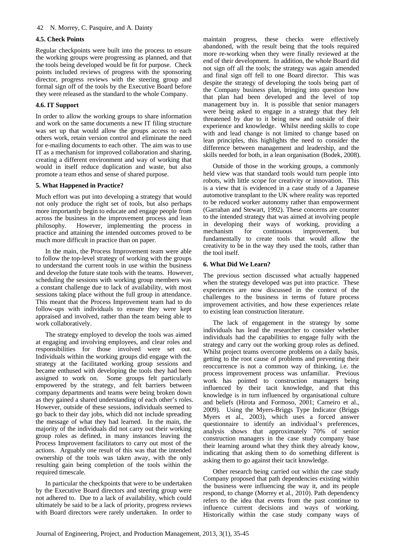## 42 N. Morrey, C. Pasquire, and A. Dainty

## **4.5. Check Points**

Regular checkpoints were built into the process to ensure the working groups were progressing as planned, and that the tools being developed would be fit for purpose. Check points included reviews of progress with the sponsoring director, progress reviews with the steering group and formal sign off of the tools by the Executive Board before they were released as the standard to the whole Company.

# **4.6. IT Support**

In order to allow the working groups to share information and work on the same documents a new IT filing structure was set up that would allow the groups access to each others work, retain version control and eliminate the need for e-mailing documents to each other. The aim was to use IT as a mechanism for improved collaboration and sharing, creating a different environment and way of working that would in itself reduce duplication and waste, but also promote a team ethos and sense of shared purpose.

# **5. What Happened in Practice?**

Much effort was put into developing a strategy that would not only produce the right set of tools, but also perhaps more importantly begin to educate and engage people from across the business in the improvement process and lean philosophy. However, implementing the process in practice and attaining the intended outcomes proved to be much more difficult in practice than on paper.

In the main, the Process Improvement team were able to follow the top-level strategy of working with the groups to understand the current tools in use within the business and develop the future state tools with the teams. However, scheduling the sessions with working group members was a constant challenge due to lack of availability, with most sessions taking place without the full group in attendance. This meant that the Process Improvement team had to do follow-ups with individuals to ensure they were kept appraised and involved, rather than the team being able to work collaboratively.

The strategy employed to develop the tools was aimed at engaging and involving employees, and clear roles and responsibilities for those involved were set out. Individuals within the working groups did engage with the strategy at the facilitated working group sessions and became enthused with developing the tools they had been assigned to work on. Some groups felt particularly empowered by the strategy, and felt barriers between company departments and teams were being broken down as they gained a shared understanding of each other's roles. However, outside of these sessions, individuals seemed to go back to their day jobs, which did not include spreading the message of what they had learned. In the main, the majority of the individuals did not carry out their working group roles as defined, in many instances leaving the Process Improvement facilitators to carry out most of the actions. Arguably one result of this was that the intended ownership of the tools was taken away, with the only resulting gain being completion of the tools within the required timescale.

In particular the checkpoints that were to be undertaken by the Executive Board directors and steering group were not adhered to. Due to a lack of availability, which could ultimately be said to be a lack of priority, progress reviews with Board directors were rarely undertaken. In order to

maintain progress, these checks were effectively abandoned, with the result being that the tools required more re-working when they were finally reviewed at the end of their development. In addition, the whole Board did not sign off all the tools; the strategy was again amended and final sign off fell to one Board director. This was despite the strategy of developing the tools being part of the Company business plan, bringing into question how that plan had been developed and the level of top management buy in. It is possible that senior managers were being asked to engage in a strategy that they felt threatened by due to it being new and outside of their experience and knowledge. Whilst needing skills to cope with and lead change is not limited to change based on lean principles, this highlights the need to consider the difference between management and leadership, and the skills needed for both, in a lean organisation (Bodek, 2008).

Outside of those in the working groups, a commonly held view was that standard tools would turn people into robots, with little scope for creativity or innovation. This is a view that is evidenced in a case study of a Japanese automotive transplant to the UK where reality was reported to be reduced worker autonomy rather than empowerment (Garrahan and Stewart, 1992). These concerns are counter to the intended strategy that was aimed at involving people in developing their ways of working, providing a mechanism for continuous improvement, fundamentally to create tools that would allow the creativity to be in the way they used the tools, rather than the tool itself.

# **6. What Did We Learn?**

The previous section discussed what actually happened when the strategy developed was put into practice. These experiences are now discussed in the context of the challenges to the business in terms of future process improvement activities, and how these experiences relate to existing lean construction literature.

The lack of engagement in the strategy by some individuals has lead the researcher to consider whether individuals had the capabilities to engage fully with the strategy and carry out the working group roles as defined. Whilst project teams overcome problems on a daily basis, getting to the root cause of problems and preventing their reoccurrence is not a common way of thinking, i.e. the process improvement process was unfamiliar. Previous work has pointed to construction managers being influenced by their tacit knowledge, and that this knowledge is in turn influenced by organisational culture and beliefs (Hirota and Formoso, 2001; Carneiro et al., 2009). Using the Myers-Briggs Type Indicator (Briggs Myers et al., 2003), which uses a forced answer questionnaire to identify an individual's preferences, analysis shows that approximately 70% of senior construction managers in the case study company base their learning around what they think they already know, indicating that asking them to do something different is asking them to go against their tacit knowledge.

Other research being carried out within the case study Company proposed that path dependencies existing within the business were influencing the way it, and its people respond, to change (Morrey et al., 2010). Path dependency refers to the idea that events from the past continue to influence current decisions and ways of working. Historically within the case study company ways of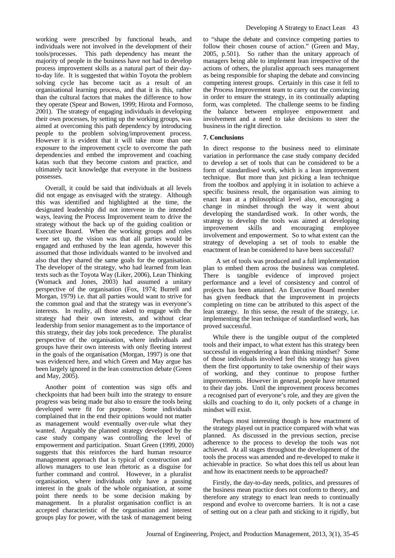working were prescribed by functional heads, and individuals were not involved in the development of their tools/processes. This path dependency has meant the majority of people in the business have not had to develop process improvement skills as a natural part of their dayto-day life. It is suggested that within Toyota the problem solving cycle has become tacit as a result of an organisational learning process, and that it is this, rather than the cultural factors that makes the difference to how they operate (Spear and Bowen, 1999; Hirota and Formoso, 2001). The strategy of engaging individuals in developing their own processes, by setting up the working groups, was aimed at overcoming this path dependency by introducing people to the problem solving/improvement process. However it is evident that it will take more than one exposure to the improvement cycle to overcome the path dependencies and embed the improvement and coaching katas such that they become custom and practice, and ultimately tacit knowledge that everyone in the business possesses.

Overall, it could be said that individuals at all levels did not engage as envisaged with the strategy. Although this was identified and highlighted at the time, the designated leadership did not intervene in the intended ways, leaving the Process Improvement team to drive the strategy without the back up of the guiding coalition or Executive Board. When the working groups and roles were set up, the vision was that all parties would be engaged and enthused by the lean agenda, however this assumed that those individuals wanted to be involved and also that they shared the same goals for the organisation. The developer of the strategy, who had learned from lean texts such as the Toyota Way (Liker, 2006), Lean Thinking (Womack and Jones, 2003) had assumed a unitary perspective of the organisation (Fox, 1974; Burrell and Morgan, 1979) i.e. that all parties would want to strive for the common goal and that the strategy was in everyone's interests. In reality, all those asked to engage with the strategy had their own interests, and without clear leadership from senior management as to the importance of this strategy, their day jobs took precedence. The pluralist perspective of the organisation, where individuals and groups have their own interests with only fleeting interest in the goals of the organisation (Morgan, 1997) is one that was evidenced here, and which Green and May argue has been largely ignored in the lean construction debate (Green and May, 2005).

Another point of contention was sign offs and checkpoints that had been built into the strategy to ensure progress was being made but also to ensure the tools being developed were fit for purpose. Some individuals complained that in the end their opinions would not matter as management would eventually over-rule what they wanted. Arguably the planned strategy developed by the case study company was controlling the level of empowerment and participation. Stuart Green (1999, 2000) suggests that this reinforces the hard human resource management approach that is typical of construction and allows managers to use lean rhetoric as a disguise for further command and control. However, in a pluralist organisation, where individuals only have a passing interest in the goals of the whole organisation, at some point there needs to be some decision making by management. In a pluralist organisation conflict is an accepted characteristic of the organisation and interest groups play for power, with the task of management being

to "shape the debate and convince competing parties to follow their chosen course of action." (Green and May, 2005, p.501). So rather than the unitary approach of managers being able to implement lean irrespective of the actions of others, the pluralist approach sees management as being responsible for shaping the debate and convincing competing interest groups. Certainly in this case it fell to the Process Improvement team to carry out the convincing in order to ensure the strategy, in its continually adapting form, was completed. The challenge seems to be finding the balance between employee empowerment and involvement and a need to take decisions to steer the business in the right direction.

## **7. Conclusions**

In direct response to the business need to eliminate variation in performance the case study company decided to develop a set of tools that can be considered to be a form of standardised work, which is a lean improvement technique. But more than just picking a lean technique from the toolbox and applying it in isolation to achieve a specific business result, the organisation was aiming to enact lean at a philosophical level also, encouraging a change in mindset through the way it went about developing the standardised work. In other words, the strategy to develop the tools was aimed at developing improvement skills and encouraging employee involvement and empowerment. So to what extent can the strategy of developing a set of tools to enable the enactment of lean be considered to have been successful?

 A set of tools was produced and a full implementation plan to embed them across the business was completed. There is tangible evidence of improved project performance and a level of consistency and control of projects has been attained. An Executive Board member has given feedback that the improvement in projects completing on time can be attributed to this aspect of the lean strategy. In this sense, the result of the strategy, i.e. implementing the lean technique of standardised work, has proved successful.

While there is the tangible output of the completed tools and their impact, to what extent has this strategy been successful in engendering a lean thinking mindset? Some of those individuals involved feel this strategy has given them the first opportunity to take ownership of their ways of working, and they continue to propose further improvements. However in general, people have returned to their day jobs. Until the improvement process becomes a recognised part of everyone's role, and they are given the skills and coaching to do it, only pockets of a change in mindset will exist.

Perhaps most interesting though is how enactment of the strategy played out in practice compared with what was planned. As discussed in the previous section, precise adherence to the process to develop the tools was not achieved. At all stages throughout the development of the tools the process was amended and re-developed to make it achievable in practice. So what does this tell us about lean and how its enactment needs to be approached?

Firstly, the day-to-day needs, politics, and pressures of the business mean practice does not conform to theory, and therefore any strategy to enact lean needs to continually respond and evolve to overcome barriers. It is not a case of setting out on a clear path and sticking to it rigidly, but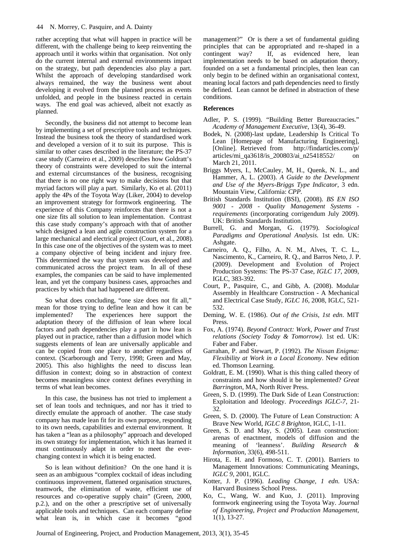rather accepting that what will happen in practice will be different, with the challenge being to keep reinventing the approach until it works within that organisation. Not only do the current internal and external environments impact on the strategy, but path dependencies also play a part. Whilst the approach of developing standardised work always remained, the way the business went about developing it evolved from the planned process as events unfolded, and people in the business reacted in certain ways. The end goal was achieved, albeit not exactly as planned.

Secondly, the business did not attempt to become lean by implementing a set of prescriptive tools and techniques. Instead the business took the theory of standardised work and developed a version of it to suit its purpose. This is similar to other cases described in the literature; the PS-37 case study (Carneiro et al., 2009) describes how Goldratt's theory of constraints were developed to suit the internal and external circumstances of the business, recognising that there is no one right way to make decisions but that myriad factors will play a part. Similarly, Ko et al. (2011) apply the 4Ps of the Toyota Way (Liker, 2004) to develop an improvement strategy for formwork engineering. The experience of this Company reinforces that there is not a one size fits all solution to lean implementation. Contrast this case study company's approach with that of another which designed a lean and agile construction system for a large mechanical and electrical project (Court, et al., 2008). In this case one of the objectives of the system was to meet a company objective of being incident and injury free. This determined the way that system was developed and communicated across the project team. In all of these examples, the companies can be said to have implemented lean, and yet the company business cases, approaches and practices by which that had happened are different.

So what does concluding, "one size does not fit all," mean for those trying to define lean and how it can be implemented? The experiences here support the adaptation theory of the diffusion of lean where local factors and path dependencies play a part in how lean is played out in practice, rather than a diffusion model which suggests elements of lean are universally applicable and can be copied from one place to another regardless of context. (Scarborough and Terry, 1998; Green and May, 2005). This also highlights the need to discuss lean diffusion in context; doing so in abstraction of context becomes meaningless since context defines everything in terms of what lean becomes.

In this case, the business has not tried to implement a set of lean tools and techniques, and nor has it tried to directly emulate the approach of another. The case study company has made lean fit for its own purpose, responding to its own needs, capabilities and external environment. It has taken a "lean as a philosophy" approach and developed its own strategy for implementation, which it has learned it must continuously adapt in order to meet the everchanging context in which it is being enacted.

So is lean without definition? On the one hand it is seen as an ambiguous "complex cocktail of ideas including continuous improvement, flattened organisation structures, teamwork, the elimination of waste, efficient use of resources and co-operative supply chain" (Green, 2000, p.2.), and on the other a prescriptive set of universally applicable tools and techniques. Can each company define what lean is, in which case it becomes "good

management?" Or is there a set of fundamental guiding principles that can be appropriated and re-shaped in a contingent way? If, as evidenced here, lean implementation needs to be based on adaptation theory, founded on a set a fundamental principles, then lean can only begin to be defined within an organisational context, meaning local factors and path dependencies need to firstly be defined. Lean cannot be defined in abstraction of these conditions.

## **References**

- Adler, P. S. (1999). "Building Better Bureaucracies." *Academy of Management Executive*, 13(4), 36-49.
- Bodek, N. (2008)-last update, Leadership Is Critical To Lean [Homepage of Manufacturing Engineering], [Online]. Retrieved from http://findarticles.com/p/ articles/mi\_qa3618/is\_200803/ai\_n25418552/ March 21, 2011.
- Briggs Myers, I., McCauley, M, H., Quenk, N. L., and Hammer, A, L. (2003). *A Guide to the Development and Use of the Myers-Briggs Type Indicator,* 3 edn. Mountain View, California: *CPP.*
- British Standards Institution (BSI), (2008). *BS EN ISO 9001 - 2008 - Quality Management Systems requirements* (incorporating corrigendum July 2009). UK: British Standards Institution.
- Burrell, G. and Morgan, G. (1979). *Sociological Paradigms and Operational Analysis.* 1st edn. UK: Ashgate.
- Carneiro, A. Q., Filho, A. N. M., Alves, T. C. L., Nascimento, K., Carneiro, R. Q., and Barros Neto, J. P. (2009). Development and Evolution of Project Production Systems: The PS-37 Case, *IGLC 17*, 2009, IGLC, 383-392.
- Court, P., Pasquire, C., and Gibb, A. (2008). Modular Assembly in Healthcare Construction - A Mechanical and Electrical Case Study, *IGLC 16*, 2008, IGLC, 521- 532.
- Deming, W. E. (1986). *Out of the Crisis, 1st edn*. MIT Press.
- Fox, A. (1974). *Beyond Contract: Work, Power and Trust relations (Society Today & Tomorrow)*. 1st ed. UK: Faber and Faber.
- Garrahan, P. and Stewart, P. (1992). *The Nissan Enigma: Flexibility at Work in a Local Economy*. New edition ed. Thomson Learning.
- Goldratt, E. M. (1990). What is this thing called theory of constraints and how should it be implemented? *Great Barrington*, MA, North River Press.
- Green, S. D. (1999). The Dark Side of Lean Construction: Exploitation and Ideology. *Proceedings IGLC-7*, 21- 32.
- Green, S. D. (2000). The Future of Lean Construction: A Brave New World, *IGLC 8 Brighton*, IGLC, 1-11.
- Green, S. D. and May, S. (2005). Lean construction: arenas of enactment, models of diffusion and the meaning of 'leanness'. *Building Research & Information*, 33(6), 498-511.
- Hirota, E. H. and Formoso, C. T. (2001). Barriers to Management Innovations: Communicating Meanings, *IGLC 9*, 2001, IGLC.
- Kotter, J. P. (1996). *Leading Change, 1 edn*. USA: Harvard Business School Press.
- Ko, C., Wang, W. and Kuo, J. (2011). Improving formwork engineering using the Toyota Way. *Journal of Engineering, Project and Production Management,* 1(1), 13-27.

Journal of Engineering, Project, and Production Management, 2013, 3(1), 35-45